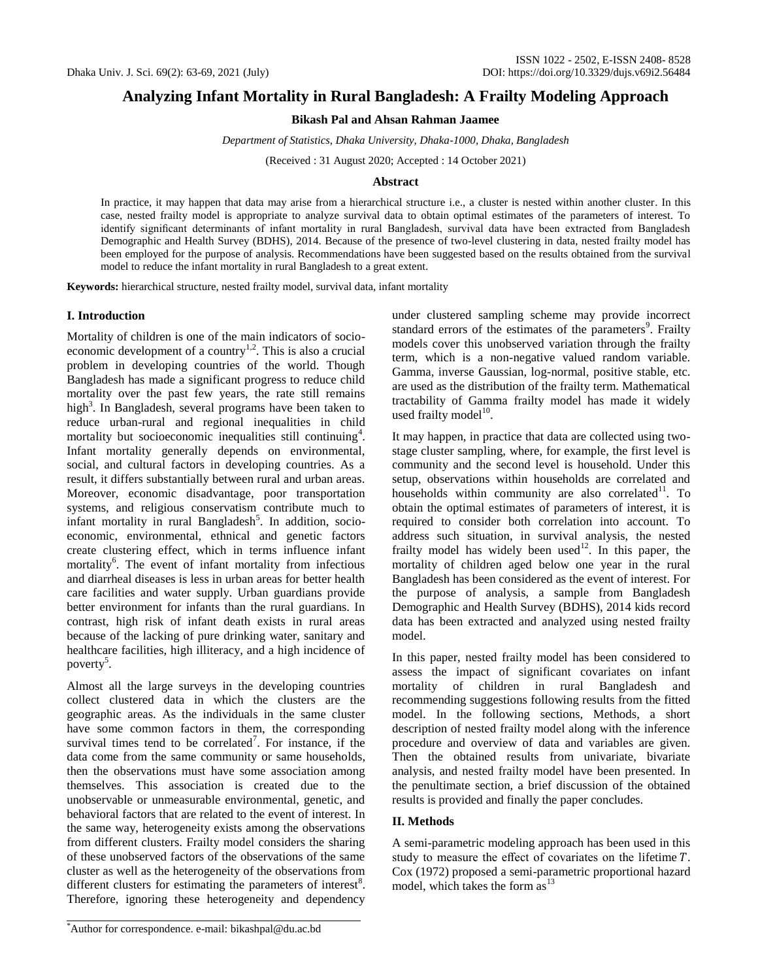# **Analyzing Infant Mortality in Rural Bangladesh: A Frailty Modeling Approach**

**Bikash Pal and Ahsan Rahman Jaamee**

*Department of Statistics, Dhaka University, Dhaka-1000, Dhaka, Bangladesh*

(Received : 31 August 2020; Accepted : 14 October 2021)

# **Abstract**

In practice, it may happen that data may arise from a hierarchical structure i.e., a cluster is nested within another cluster. In this case, nested frailty model is appropriate to analyze survival data to obtain optimal estimates of the parameters of interest. To identify significant determinants of infant mortality in rural Bangladesh, survival data have been extracted from Bangladesh Demographic and Health Survey (BDHS), 2014. Because of the presence of two-level clustering in data, nested frailty model has been employed for the purpose of analysis. Recommendations have been suggested based on the results obtained from the survival model to reduce the infant mortality in rural Bangladesh to a great extent.

**Keywords:** hierarchical structure, nested frailty model, survival data, infant mortality

# **I. Introduction**

Mortality of children is one of the main indicators of socio-economic development of a country<sup>[1,2](#page-5-0)</sup>. This is also a crucial problem in developing countries of the world. Though Bangladesh has made a significant progress to reduce child mortality over the past few years, the rate still remains high<sup>3</sup>. In Bangladesh, several programs have been taken to reduce urban-rural and regional inequalities in child mortality but socioeconomic inequalities still continuing<sup>4</sup>. Infant mortality generally depends on environmental, social, and cultural factors in developing countries. As a result, it differs substantially between rural and urban areas. Moreover, economic disadvantage, poor transportation systems, and religious conservatism contribute much to infant mortality in rural Bangladesh<sup>5</sup>. In addition, socioeconomic, environmental, ethnical and genetic factors create clustering effect, which in terms influence infant mortality<sup>6</sup>. The event of infant mortality from infectious and diarrheal diseases is less in urban areas for better health care facilities and water supply. Urban guardians provide better environment for infants than the rural guardians. In contrast, high risk of infant death exists in rural areas because of the lacking of pure drinking water, sanitary and healthcare facilities, high illiteracy, and a high incidence of poverty<sup>5</sup>.

Almost all the large surveys in the developing countries collect clustered data in which the clusters are the geographic areas. As the individuals in the same cluster have some common factors in them, the corresponding survival times tend to be correlated<sup>7</sup>. For instance, if the data come from the same community or same households, then the observations must have some association among themselves. This association is created due to the unobservable or unmeasurable environmental, genetic, and behavioral factors that are related to the event of interest. In the same way, heterogeneity exists among the observations from different clusters. Frailty model considers the sharing of these unobserved factors of the observations of the same cluster as well as the heterogeneity of the observations from different clusters for estimating the parameters of interest $8$ . Therefore, ignoring these heterogeneity and dependency

under clustered sampling scheme may provide incorrect standard errors of the estimates of the parameters<sup>9</sup>. Frailty models cover this unobserved variation through the frailty term, which is a non-negative valued random variable. Gamma, inverse Gaussian, log-normal, positive stable, etc. are used as the distribution of the frailty term. Mathematical tractability of Gamma frailty model has made it widely used frailty model $10$ .

It may happen, in practice that data are collected using twostage cluster sampling, where, for example, the first level is community and the second level is household. Under this setup, observations within households are correlated and households within community are also correlated $11$ . To obtain the optimal estimates of parameters of interest, it is required to consider both correlation into account. To address such situation, in survival analysis, the nested frailty model has widely been used<sup>12</sup>. In this paper, the mortality of children aged below one year in the rural Bangladesh has been considered as the event of interest. For the purpose of analysis, a sample from Bangladesh Demographic and Health Survey (BDHS), 2014 kids record data has been extracted and analyzed using nested frailty model.

In this paper, nested frailty model has been considered to assess the impact of significant covariates on infant mortality of children in rural Bangladesh and recommending suggestions following results from the fitted model. In the following sections, Methods, a short description of nested frailty model along with the inference procedure and overview of data and variables are given. Then the obtained results from univariate, bivariate analysis, and nested frailty model have been presented. In the penultimate section, a brief discussion of the obtained results is provided and finally the paper concludes.

# **II. Methods**

A semi-parametric modeling approach has been used in this study to measure the effect of covariates on the lifetime  $T$ . Cox (1972) proposed a semi-parametric proportional hazard model, which takes the form  $as<sup>13</sup>$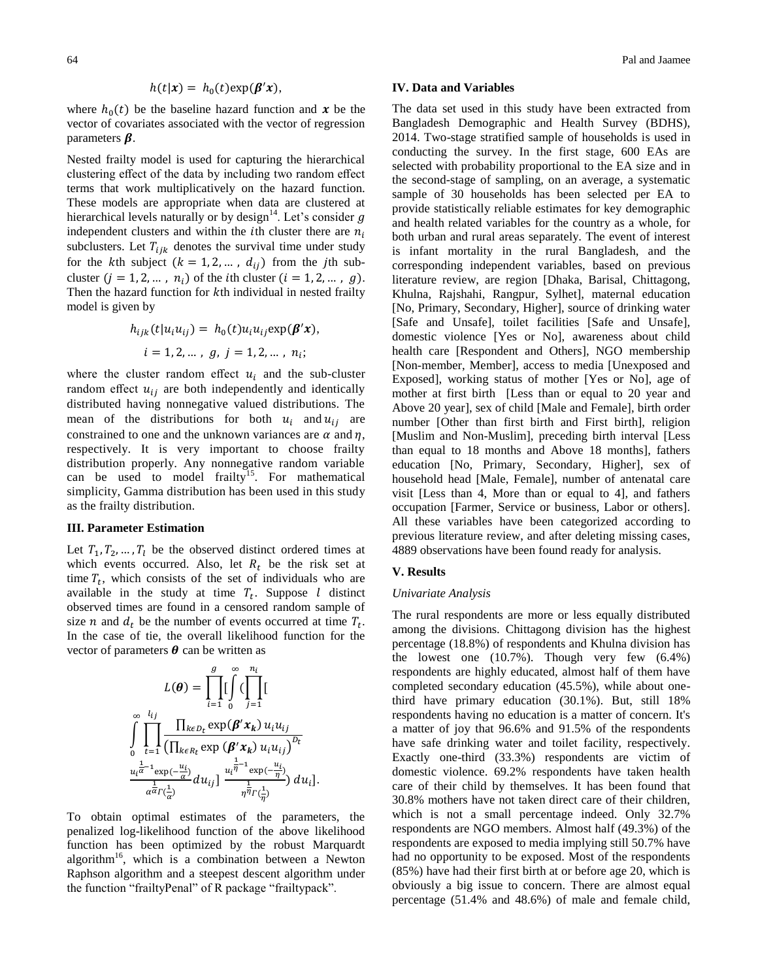$$
h(t|\mathbf{x}) = h_0(t) \exp(\beta' \mathbf{x}),
$$

where  $h_0(t)$  be the baseline hazard function and x be the vector of covariates associated with the vector of regression parameters  $\beta$ .

Nested frailty model is used for capturing the hierarchical clustering effect of the data by including two random effect terms that work multiplicatively on the hazard function. These models are appropriate when data are clustered at hierarchical levels naturally or by design<sup>14</sup>. Let's consider g independent clusters and within the *i*th cluster there are  $n_i$ subclusters. Let  $T_{ijk}$  denotes the survival time under study for the kth subject  $(k = 1, 2, ..., d_{ij})$  from the jth subcluster  $(j = 1, 2, ..., n_i)$  of the *i*th cluster  $(i = 1, 2, ..., g)$ . Then the hazard function for  $k$ th individual in nested frailty model is given by

$$
h_{ijk}(t|u_i u_{ij}) = h_0(t) u_i u_{ij} \exp(\beta' x),
$$
  
 $i = 1, 2, ..., g, j = 1, 2, ..., n_i;$ 

where the cluster random effect  $u_i$  and the sub-cluster random effect  $u_{ij}$  are both independently and identically distributed having nonnegative valued distributions. The mean of the distributions for both  $u_i$  and  $u_{ij}$  are constrained to one and the unknown variances are  $\alpha$  and  $\eta$ , respectively. It is very important to choose frailty distribution properly. Any nonnegative random variable can be used to model frailty<sup>15</sup>. For mathematical simplicity, Gamma distribution has been used in this study as the frailty distribution.

#### **III. Parameter Estimation**

Let  $T_1, T_2, ..., T_l$  be the observed distinct ordered times at which events occurred. Also, let  $R_t$  be the risk set at time  $T_t$ , which consists of the set of individuals who are available in the study at time  $T_t$ . Suppose *l* distinct observed times are found in a censored random sample of size *n* and  $d_t$  be the number of events occurred at time  $T_t$ . In the case of tie, the overall likelihood function for the vector of parameters  $\theta$  can be written as

$$
L(\theta) = \prod_{i=1}^{g} \left[ \int_{0}^{\infty} \left( \prod_{j=1}^{n_i} \left[ \frac{1}{2} \right] \right) \left( \frac{1}{2} \right) \right]
$$

$$
\int_{0}^{\infty} \prod_{t=1}^{l_{ij}} \frac{\prod_{k \in D_t} \exp(\beta' x_k) u_i u_{ij}}{\left( \prod_{k \in R_t} \exp(\beta' x_k) u_i u_{ij} \right)^{D_t}}
$$

$$
\frac{u_i^{\frac{1}{\alpha}-1} \exp(-\frac{u_i}{\alpha})}{\alpha^{\frac{1}{\alpha}r} \left( \frac{1}{\alpha} \right)} du_{ij} \right] \frac{u_i^{\frac{1}{\alpha}-1} \exp(-\frac{u_i}{\eta})}{\eta^{\frac{1}{\eta}} r \left( \frac{1}{\eta} \right)} du_i \right].
$$

To obtain optimal estimates of the parameters, the penalized log-likelihood function of the above likelihood function has been optimized by the robust Marquardt algorithm<sup>16</sup>, which is a combination between a Newton Raphson algorithm and a steepest descent algorithm under the function "frailtyPenal" of R package "frailtypack".

#### **IV. Data and Variables**

The data set used in this study have been extracted from Bangladesh Demographic and Health Survey (BDHS), 2014. Two-stage stratified sample of households is used in conducting the survey. In the first stage, 600 EAs are selected with probability proportional to the EA size and in the second-stage of sampling, on an average, a systematic sample of 30 households has been selected per EA to provide statistically reliable estimates for key demographic and health related variables for the country as a whole, for both urban and rural areas separately. The event of interest is infant mortality in the rural Bangladesh, and the corresponding independent variables, based on previous literature review, are region [Dhaka, Barisal, Chittagong, Khulna, Rajshahi, Rangpur, Sylhet], maternal education [No, Primary, Secondary, Higher], source of drinking water [Safe and Unsafe], toilet facilities [Safe and Unsafe], domestic violence [Yes or No], awareness about child health care [Respondent and Others], NGO membership [Non-member, Member], access to media [Unexposed and Exposed], working status of mother [Yes or No], age of mother at first birth [Less than or equal to 20 year and Above 20 year], sex of child [Male and Female], birth order number [Other than first birth and First birth], religion [Muslim and Non-Muslim], preceding birth interval [Less than equal to 18 months and Above 18 months], fathers education [No, Primary, Secondary, Higher], sex of household head [Male, Female], number of antenatal care visit [Less than 4, More than or equal to 4], and fathers occupation [Farmer, Service or business, Labor or others]. All these variables have been categorized according to previous literature review, and after deleting missing cases, 4889 observations have been found ready for analysis.

# **V. Results**

#### *Univariate Analysis*

The rural respondents are more or less equally distributed among the divisions. Chittagong division has the highest percentage (18.8%) of respondents and Khulna division has the lowest one (10.7%). Though very few (6.4%) respondents are highly educated, almost half of them have completed secondary education (45.5%), while about onethird have primary education (30.1%). But, still 18% respondents having no education is a matter of concern. It's a matter of joy that 96.6% and 91.5% of the respondents have safe drinking water and toilet facility, respectively. Exactly one-third (33.3%) respondents are victim of domestic violence. 69.2% respondents have taken health care of their child by themselves. It has been found that 30.8% mothers have not taken direct care of their children, which is not a small percentage indeed. Only 32.7% respondents are NGO members. Almost half (49.3%) of the respondents are exposed to media implying still 50.7% have had no opportunity to be exposed. Most of the respondents (85%) have had their first birth at or before age 20, which is obviously a big issue to concern. There are almost equal percentage (51.4% and 48.6%) of male and female child,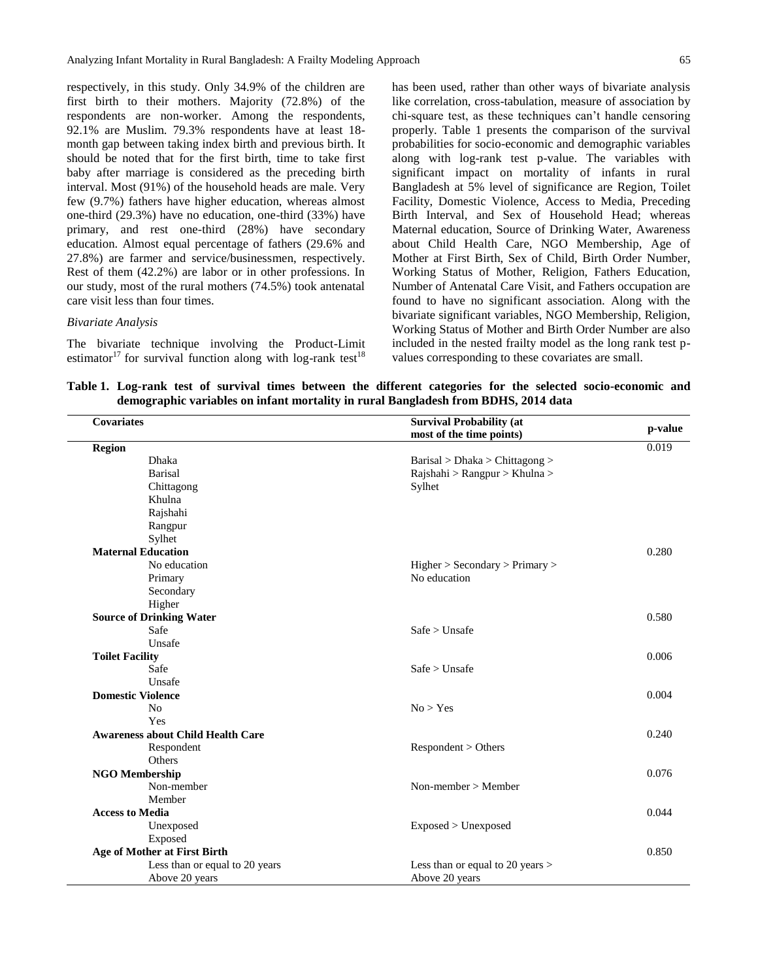respectively, in this study. Only 34.9% of the children are first birth to their mothers. Majority (72.8%) of the respondents are non-worker. Among the respondents, 92.1% are Muslim. 79.3% respondents have at least 18 month gap between taking index birth and previous birth. It should be noted that for the first birth, time to take first baby after marriage is considered as the preceding birth interval. Most (91%) of the household heads are male. Very few (9.7%) fathers have higher education, whereas almost one-third (29.3%) have no education, one-third (33%) have primary, and rest one-third (28%) have secondary education. Almost equal percentage of fathers (29.6% and 27.8%) are farmer and service/businessmen, respectively. Rest of them (42.2%) are labor or in other professions. In our study, most of the rural mothers (74.5%) took antenatal care visit less than four times.

#### *Bivariate Analysis*

The bivariate technique involving the Product-Limit estimator<sup>17</sup> for survival function along with log-rank test<sup>18</sup>

has been used, rather than other ways of bivariate analysis like correlation, cross-tabulation, measure of association by chi-square test, as these techniques can't handle censoring properly. Table 1 presents the comparison of the survival probabilities for socio-economic and demographic variables along with log-rank test p-value. The variables with significant impact on mortality of infants in rural Bangladesh at 5% level of significance are Region, Toilet Facility, Domestic Violence, Access to Media, Preceding Birth Interval, and Sex of Household Head; whereas Maternal education, Source of Drinking Water, Awareness about Child Health Care, NGO Membership, Age of Mother at First Birth, Sex of Child, Birth Order Number, Working Status of Mother, Religion, Fathers Education, Number of Antenatal Care Visit, and Fathers occupation are found to have no significant association. Along with the bivariate significant variables, NGO Membership, Religion, Working Status of Mother and Birth Order Number are also included in the nested frailty model as the long rank test pvalues corresponding to these covariates are small.

**Table 1. Log-rank test of survival times between the different categories for the selected socio-economic and demographic variables on infant mortality in rural Bangladesh from BDHS, 2014 data**

| <b>Covariates</b>                        | <b>Survival Probability (at</b><br>most of the time points) | p-value |
|------------------------------------------|-------------------------------------------------------------|---------|
| <b>Region</b>                            |                                                             | 0.019   |
| <b>Dhaka</b>                             | Barisal > Dhaka > Chittagong >                              |         |
| <b>Barisal</b>                           | Rajshahi > Rangpur > Khulna >                               |         |
| Chittagong                               | Sylhet                                                      |         |
| Khulna                                   |                                                             |         |
| Rajshahi                                 |                                                             |         |
| Rangpur                                  |                                                             |         |
| Sylhet                                   |                                                             |         |
| <b>Maternal Education</b>                |                                                             | 0.280   |
| No education                             | Higher > Secondary > Primary >                              |         |
| Primary                                  | No education                                                |         |
| Secondary                                |                                                             |         |
| Higher                                   |                                                             |         |
| <b>Source of Drinking Water</b>          |                                                             | 0.580   |
| Safe                                     | Safe > Unsafe                                               |         |
| Unsafe                                   |                                                             |         |
| <b>Toilet Facility</b>                   |                                                             | 0.006   |
| Safe                                     | $Safe$ > Unsafe                                             |         |
| Unsafe                                   |                                                             |         |
| <b>Domestic Violence</b>                 |                                                             | 0.004   |
| N <sub>0</sub>                           | No > Yes                                                    |         |
| Yes                                      |                                                             |         |
| <b>Awareness about Child Health Care</b> |                                                             | 0.240   |
| Respondent                               | Respondent > Others                                         |         |
| Others                                   |                                                             |         |
| <b>NGO Membership</b>                    |                                                             | 0.076   |
| Non-member                               | Non-member > Member                                         |         |
| Member                                   |                                                             |         |
| <b>Access to Media</b>                   |                                                             | 0.044   |
| Unexposed                                | Exposed > Unexposed                                         |         |
| Exposed                                  |                                                             |         |
| <b>Age of Mother at First Birth</b>      |                                                             | 0.850   |
| Less than or equal to 20 years           | Less than or equal to 20 years $>$                          |         |
| Above 20 years                           | Above 20 years                                              |         |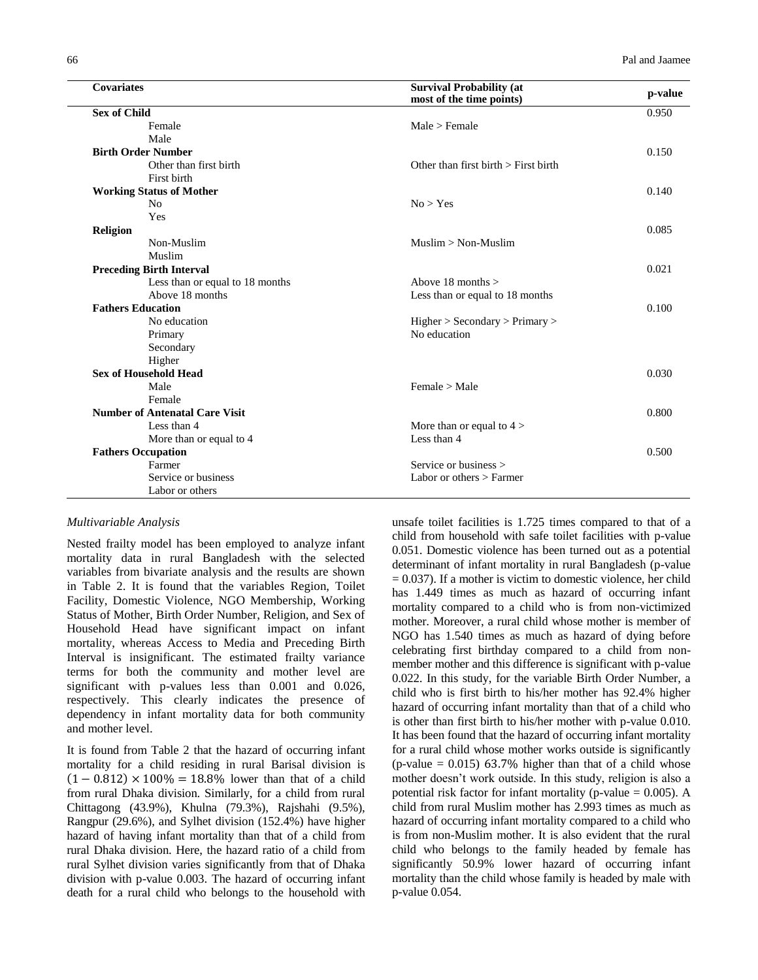| <b>Covariates</b>                     | <b>Survival Probability (at</b><br>most of the time points) | p-value |
|---------------------------------------|-------------------------------------------------------------|---------|
| <b>Sex of Child</b>                   |                                                             | 0.950   |
| Female                                | Male > Female                                               |         |
| Male                                  |                                                             |         |
| <b>Birth Order Number</b>             |                                                             | 0.150   |
| Other than first birth                | Other than first birth $>$ First birth                      |         |
| First birth                           |                                                             |         |
| <b>Working Status of Mother</b>       |                                                             | 0.140   |
| N <sub>0</sub>                        | No > Yes                                                    |         |
| Yes                                   |                                                             |         |
| Religion                              |                                                             | 0.085   |
| Non-Muslim                            | $Muslim > Non-Muslim$                                       |         |
| Muslim                                |                                                             |         |
| <b>Preceding Birth Interval</b>       |                                                             | 0.021   |
| Less than or equal to 18 months       | Above 18 months $>$                                         |         |
| Above 18 months                       | Less than or equal to 18 months                             |         |
| <b>Fathers Education</b>              |                                                             | 0.100   |
| No education                          | Higher > Secondary > Primary >                              |         |
| Primary                               | No education                                                |         |
| Secondary                             |                                                             |         |
| Higher                                |                                                             |         |
| <b>Sex of Household Head</b>          |                                                             | 0.030   |
| Male                                  | Female > Male                                               |         |
| Female                                |                                                             |         |
| <b>Number of Antenatal Care Visit</b> |                                                             | 0.800   |
| Less than 4                           | More than or equal to $4 >$                                 |         |
| More than or equal to 4               | Less than 4                                                 |         |
| <b>Fathers Occupation</b>             |                                                             | 0.500   |
| Farmer                                | Service or business $>$                                     |         |
| Service or business                   | Labor or others > Farmer                                    |         |
| Labor or others                       |                                                             |         |

## *Multivariable Analysis*

Nested frailty model has been employed to analyze infant mortality data in rural Bangladesh with the selected variables from bivariate analysis and the results are shown in Table 2. It is found that the variables Region, Toilet Facility, Domestic Violence, NGO Membership, Working Status of Mother, Birth Order Number, Religion, and Sex of Household Head have significant impact on infant mortality, whereas Access to Media and Preceding Birth Interval is insignificant. The estimated frailty variance terms for both the community and mother level are significant with p-values less than 0.001 and 0.026, respectively. This clearly indicates the presence of dependency in infant mortality data for both community and mother level.

It is found from Table 2 that the hazard of occurring infant mortality for a child residing in rural Barisal division is  $(1 - 0.812) \times 100\% = 18.8\%$  lower than that of a child from rural Dhaka division. Similarly, for a child from rural Chittagong (43.9%), Khulna (79.3%), Rajshahi (9.5%), Rangpur (29.6%), and Sylhet division (152.4%) have higher hazard of having infant mortality than that of a child from rural Dhaka division. Here, the hazard ratio of a child from rural Sylhet division varies significantly from that of Dhaka division with p-value 0.003. The hazard of occurring infant death for a rural child who belongs to the household with unsafe toilet facilities is 1.725 times compared to that of a child from household with safe toilet facilities with p-value 0.051. Domestic violence has been turned out as a potential determinant of infant mortality in rural Bangladesh (p-value  $= 0.037$ ). If a mother is victim to domestic violence, her child has 1.449 times as much as hazard of occurring infant mortality compared to a child who is from non-victimized mother. Moreover, a rural child whose mother is member of NGO has 1.540 times as much as hazard of dying before celebrating first birthday compared to a child from nonmember mother and this difference is significant with p-value 0.022. In this study, for the variable Birth Order Number, a child who is first birth to his/her mother has 92.4% higher hazard of occurring infant mortality than that of a child who is other than first birth to his/her mother with p-value 0.010. It has been found that the hazard of occurring infant mortality for a rural child whose mother works outside is significantly (p-value  $= 0.015$ ) 63.7% higher than that of a child whose mother doesn't work outside. In this study, religion is also a potential risk factor for infant mortality (p-value  $= 0.005$ ). A child from rural Muslim mother has 2.993 times as much as hazard of occurring infant mortality compared to a child who is from non-Muslim mother. It is also evident that the rural child who belongs to the family headed by female has significantly 50.9% lower hazard of occurring infant mortality than the child whose family is headed by male with p-value 0.054.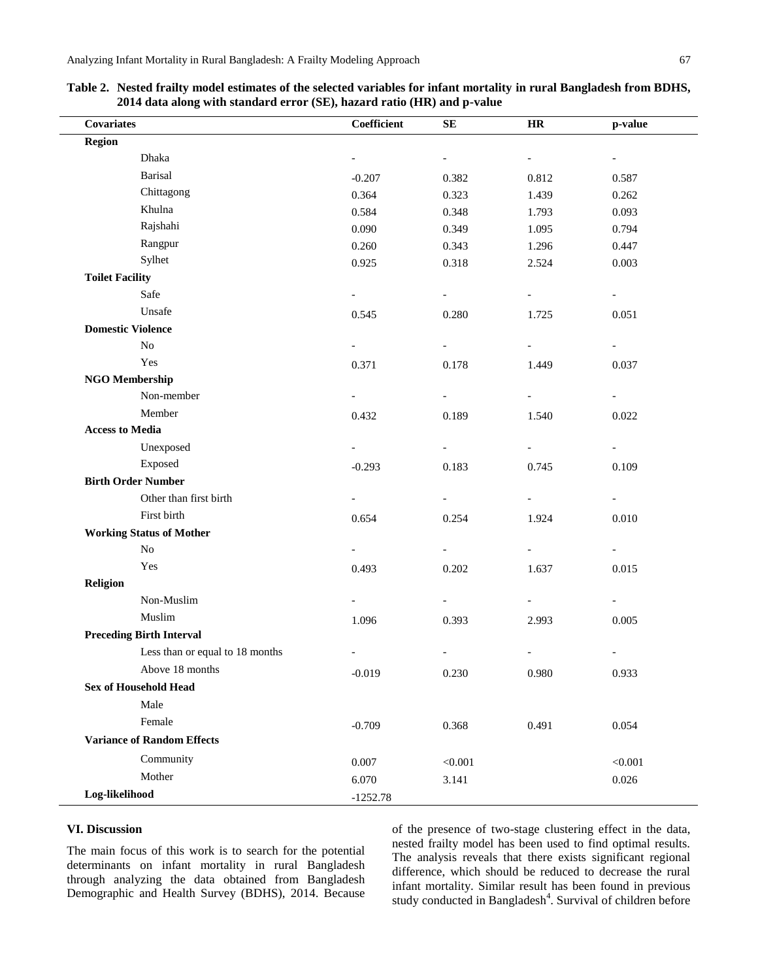**Table 2. Nested frailty model estimates of the selected variables for infant mortality in rural Bangladesh from BDHS, 2014 data along with standard error (SE), hazard ratio (HR) and p-value**

| <b>Covariates</b>                 | Coefficient              | ${\bf SE}$               | HR                       | p-value                  |
|-----------------------------------|--------------------------|--------------------------|--------------------------|--------------------------|
| <b>Region</b>                     |                          |                          |                          |                          |
| Dhaka                             |                          | $\overline{\phantom{a}}$ | $\overline{\phantom{a}}$ | $\blacksquare$           |
| <b>Barisal</b>                    | $-0.207$                 | 0.382                    | 0.812                    | 0.587                    |
| Chittagong                        | 0.364                    | 0.323                    | 1.439                    | 0.262                    |
| Khulna                            | 0.584                    | 0.348                    | 1.793                    | 0.093                    |
| Rajshahi                          | 0.090                    | 0.349                    | 1.095                    | 0.794                    |
| Rangpur                           | 0.260                    | 0.343                    | 1.296                    | 0.447                    |
| Sylhet                            | 0.925                    | 0.318                    | 2.524                    | 0.003                    |
| <b>Toilet Facility</b>            |                          |                          |                          |                          |
| Safe                              | $\overline{\phantom{a}}$ | $\overline{\phantom{a}}$ | $\overline{\phantom{a}}$ | $\blacksquare$           |
| Unsafe                            | 0.545                    | 0.280                    | 1.725                    | 0.051                    |
| <b>Domestic Violence</b>          |                          |                          |                          |                          |
| $\rm No$                          | $\overline{\phantom{a}}$ | $\overline{\phantom{a}}$ | $\overline{\phantom{0}}$ | $\overline{\phantom{a}}$ |
| Yes                               | 0.371                    | 0.178                    | 1.449                    | 0.037                    |
| <b>NGO Membership</b>             |                          |                          |                          |                          |
| Non-member                        | $\overline{\phantom{a}}$ | $\overline{\phantom{a}}$ | $\overline{\phantom{a}}$ | $\overline{\phantom{0}}$ |
| Member                            | 0.432                    | 0.189                    | 1.540                    | 0.022                    |
| <b>Access to Media</b>            |                          |                          |                          |                          |
| Unexposed                         |                          | $\overline{\phantom{a}}$ |                          | $\overline{\phantom{a}}$ |
| Exposed                           | $-0.293$                 | 0.183                    | 0.745                    | 0.109                    |
| <b>Birth Order Number</b>         |                          |                          |                          |                          |
| Other than first birth            |                          | $\overline{\phantom{a}}$ |                          |                          |
| First birth                       | 0.654                    | 0.254                    | 1.924                    | 0.010                    |
| <b>Working Status of Mother</b>   |                          |                          |                          |                          |
| No                                |                          |                          |                          | $\overline{\phantom{0}}$ |
| Yes                               | 0.493                    | 0.202                    | 1.637                    | 0.015                    |
| Religion                          |                          |                          |                          |                          |
| Non-Muslim                        |                          | $\overline{\phantom{a}}$ | $\overline{\phantom{0}}$ | $\overline{\phantom{0}}$ |
| Muslim                            | 1.096                    | 0.393                    | 2.993                    | 0.005                    |
| <b>Preceding Birth Interval</b>   |                          |                          |                          |                          |
| Less than or equal to 18 months   |                          |                          |                          | $\overline{a}$           |
| Above 18 months                   | $-0.019$                 | 0.230                    | 0.980                    | 0.933                    |
| <b>Sex of Household Head</b>      |                          |                          |                          |                          |
| Male                              |                          |                          |                          |                          |
| Female                            | $-0.709$                 | 0.368                    | 0.491                    | 0.054                    |
| <b>Variance of Random Effects</b> |                          |                          |                          |                          |
| Community                         |                          |                          |                          |                          |
| Mother                            | 0.007                    | < 0.001                  |                          | < 0.001                  |
| Log-likelihood                    | 6.070                    | 3.141                    |                          | 0.026                    |
|                                   | $-1252.78$               |                          |                          |                          |

## **VI. Discussion**

The main focus of this work is to search for the potential determinants on infant mortality in rural Bangladesh through analyzing the data obtained from Bangladesh Demographic and Health Survey (BDHS), 2014. Because of the presence of two-stage clustering effect in the data, nested frailty model has been used to find optimal results. The analysis reveals that there exists significant regional difference, which should be reduced to decrease the rural infant mortality. Similar result has been found in previous study conducted in Bangladesh<sup>4</sup>. Survival of children before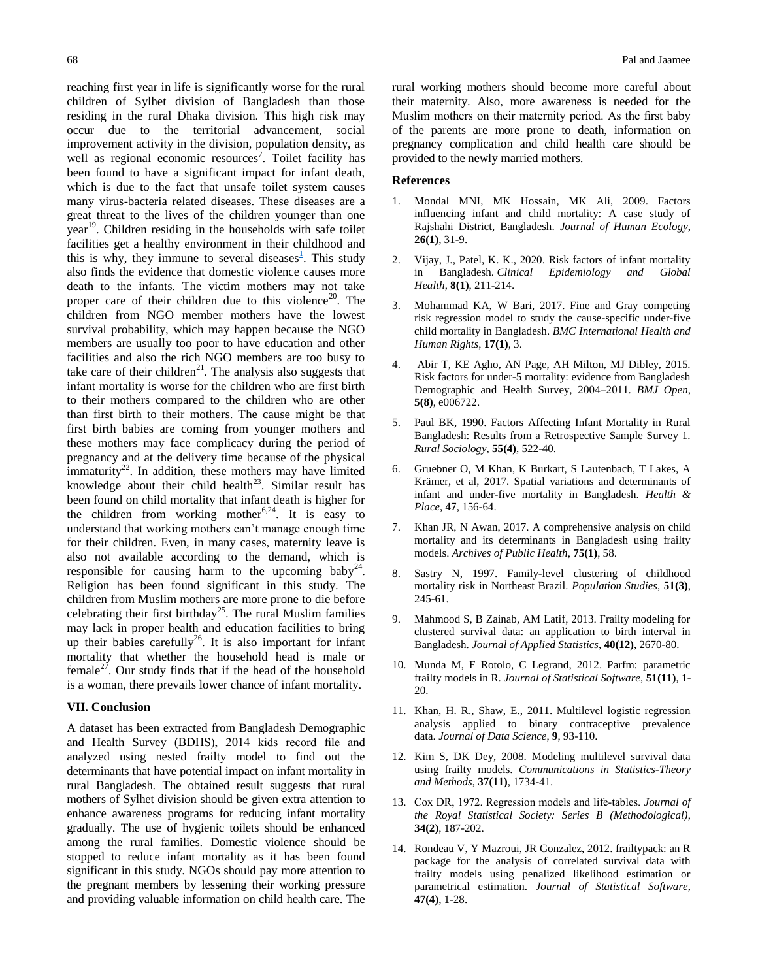reaching first year in life is significantly worse for the rural children of Sylhet division of Bangladesh than those residing in the rural Dhaka division. This high risk may occur due to the territorial advancement, social improvement activity in the division, population density, as well as regional economic resources<sup>7</sup>. Toilet facility has been found to have a significant impact for infant death, which is due to the fact that unsafe toilet system causes many virus-bacteria related diseases. These diseases are a great threat to the lives of the children younger than one year<sup>19</sup>. Children residing in the households with safe toilet facilities get a healthy environment in their childhood and this is why, they immune to several diseases<sup>1</sup>[.](#page-5-0) This study also finds the evidence that domestic violence causes more death to the infants. The victim mothers may not take proper care of their children due to this violence<sup>20</sup>. The children from NGO member mothers have the lowest survival probability, which may happen because the NGO members are usually too poor to have education and other facilities and also the rich NGO members are too busy to take care of their children<sup>21</sup>. The analysis also suggests that infant mortality is worse for the children who are first birth to their mothers compared to the children who are other than first birth to their mothers. The cause might be that first birth babies are coming from younger mothers and these mothers may face complicacy during the period of pregnancy and at the delivery time because of the physical immaturity<sup>22</sup>. In addition, these mothers may have limited knowledge about their child health<sup>23</sup>. Similar result has been found on child mortality that infant death is higher for the children from working mother<sup>6,24</sup>. It is easy to understand that working mothers can't manage enough time for their children. Even, in many cases, maternity leave is also not available according to the demand, which is responsible for causing harm to the upcoming baby<sup>24</sup>. Religion has been found significant in this study. The children from Muslim mothers are more prone to die before celebrating their first birthday<sup>25</sup>. The rural Muslim families may lack in proper health and education facilities to bring up their babies carefully<sup>26</sup>. It is also important for infant mortality that whether the household head is male or female<sup>27</sup>. Our study finds that if the head of the household is a woman, there prevails lower chance of infant mortality.

# **VII. Conclusion**

A dataset has been extracted from Bangladesh Demographic and Health Survey (BDHS), 2014 kids record file and analyzed using nested frailty model to find out the determinants that have potential impact on infant mortality in rural Bangladesh. The obtained result suggests that rural mothers of Sylhet division should be given extra attention to enhance awareness programs for reducing infant mortality gradually. The use of hygienic toilets should be enhanced among the rural families. Domestic violence should be stopped to reduce infant mortality as it has been found significant in this study. NGOs should pay more attention to the pregnant members by lessening their working pressure and providing valuable information on child health care. The

rural working mothers should become more careful about their maternity. Also, more awareness is needed for the Muslim mothers on their maternity period. As the first baby of the parents are more prone to death, information on pregnancy complication and child health care should be provided to the newly married mothers.

#### **References**

- <span id="page-5-0"></span>1. Mondal MNI, MK Hossain, MK Ali, 2009. Factors influencing infant and child mortality: A case study of Rajshahi District, Bangladesh. *Journal of Human Ecology*, **26(1)**, 31-9.
- 2. Vijay, J., Patel, K. K., 2020. Risk factors of infant mortality in Bangladesh. *Clinical Epidemiology and Global Health*, **8(1)**, 211-214.
- 3. Mohammad KA, W Bari, 2017. Fine and Gray competing risk regression model to study the cause-specific under-five child mortality in Bangladesh. *BMC International Health and Human Rights*, **17(1)**, 3.
- 4. Abir T, KE Agho, AN Page, AH Milton, MJ Dibley, 2015. Risk factors for under-5 mortality: evidence from Bangladesh Demographic and Health Survey, 2004–2011. *BMJ Open*, **5(8)**, e006722.
- 5. Paul BK, 1990. Factors Affecting Infant Mortality in Rural Bangladesh: Results from a Retrospective Sample Survey 1. *Rural Sociology*, **55(4)**, 522-40.
- 6. Gruebner O, M Khan, K Burkart, S Lautenbach, T Lakes, A Krämer, et al, 2017. Spatial variations and determinants of infant and under-five mortality in Bangladesh. *Health & Place*, **47**, 156-64.
- 7. Khan JR, N Awan, 2017. A comprehensive analysis on child mortality and its determinants in Bangladesh using frailty models. *Archives of Public Health*, **75(1)**, 58.
- 8. Sastry N, 1997. Family-level clustering of childhood mortality risk in Northeast Brazil. *Population Studies*, **51(3)**, 245-61.
- 9. Mahmood S, B Zainab, AM Latif, 2013. Frailty modeling for clustered survival data: an application to birth interval in Bangladesh. *Journal of Applied Statistics*, **40(12)**, 2670-80.
- 10. Munda M, F Rotolo, C Legrand, 2012. Parfm: parametric frailty models in R. *Journal of Statistical Software*, **51(11)**, 1- 20.
- 11. Khan, H. R., Shaw, E., 2011. Multilevel logistic regression analysis applied to binary contraceptive prevalence data. *Journal of Data Science*, **9**, 93-110.
- 12. Kim S, DK Dey, 2008. Modeling multilevel survival data using frailty models. *Communications in Statistics-Theory and Methods*, **37(11)**, 1734-41.
- 13. Cox DR, 1972. Regression models and life‐tables. *Journal of the Royal Statistical Society: Series B (Methodological)*, **34(2)**, 187-202.
- 14. Rondeau V, Y Mazroui, JR Gonzalez, 2012. frailtypack: an R package for the analysis of correlated survival data with frailty models using penalized likelihood estimation or parametrical estimation. *Journal of Statistical Software*, **47(4)**, 1-28.